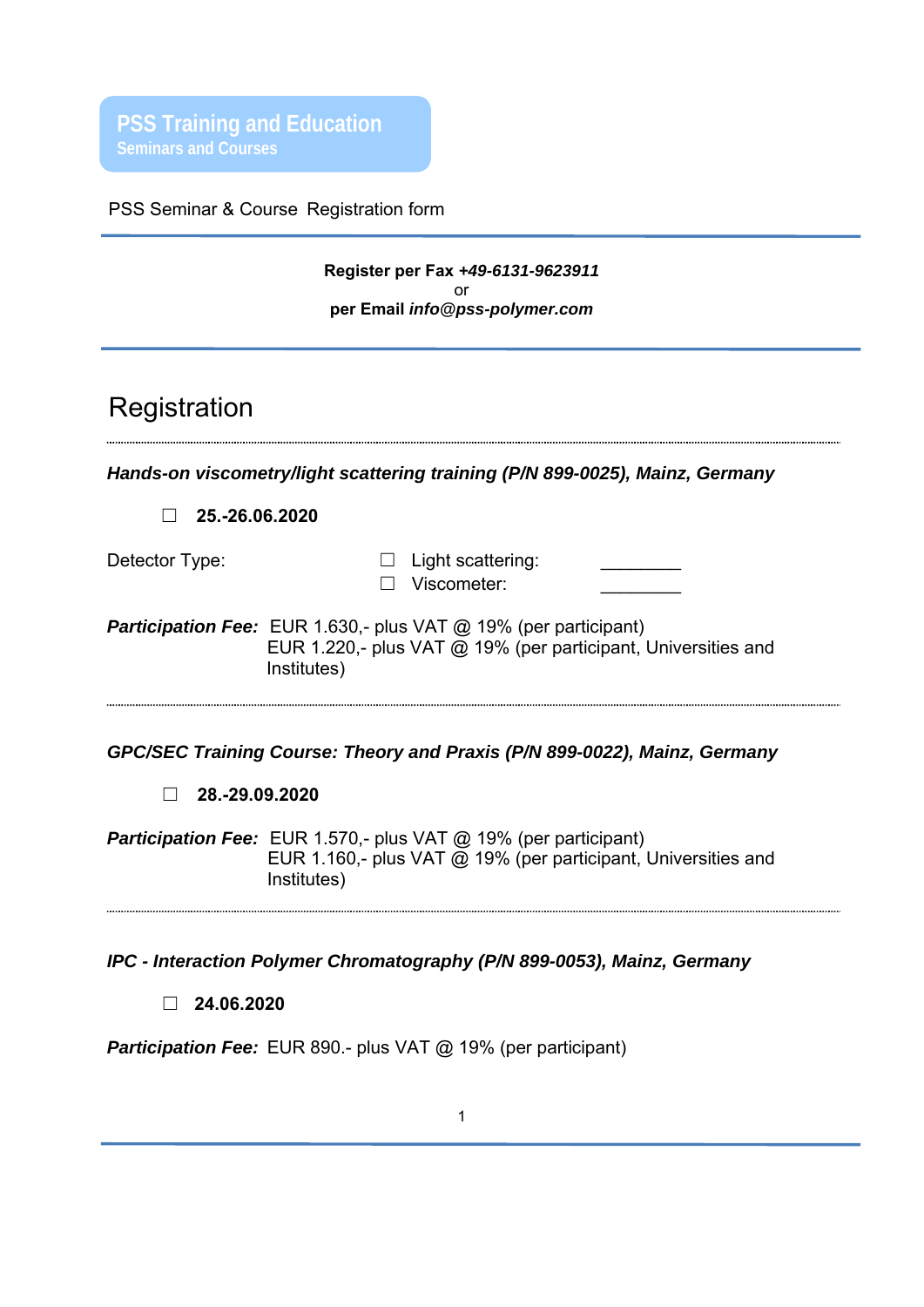**PSS Training and Education Seminars and Courses** 

PSS Seminar & Course Registration form

# **Register per Fax** *+49-6131-9623911* or **per Email** *info@pss-polymer.com*

# Registration

*Hands-on viscometry/light scattering training (P/N 899-0025), Mainz, Germany* 

☐ **25.-26.06.2020**

Detector Type: □ Light scattering: ☐ Viscometer: \_\_\_\_\_\_\_\_

**Participation Fee:** EUR 1.630,- plus VAT @ 19% (per participant) EUR 1.220,- plus VAT @ 19% (per participant, Universities and Institutes)

*GPC/SEC Training Course: Theory and Praxis (P/N 899-0022), Mainz, Germany* 

☐ **28.-29.09.2020**

**Participation Fee:** EUR 1.570,- plus VAT @ 19% (per participant) EUR 1.160,- plus VAT @ 19% (per participant, Universities and Institutes)

*IPC - Interaction Polymer Chromatography (P/N 899-0053), Mainz, Germany* 

☐ **24.06.2020**

**Participation Fee:** EUR 890.- plus VAT @ 19% (per participant)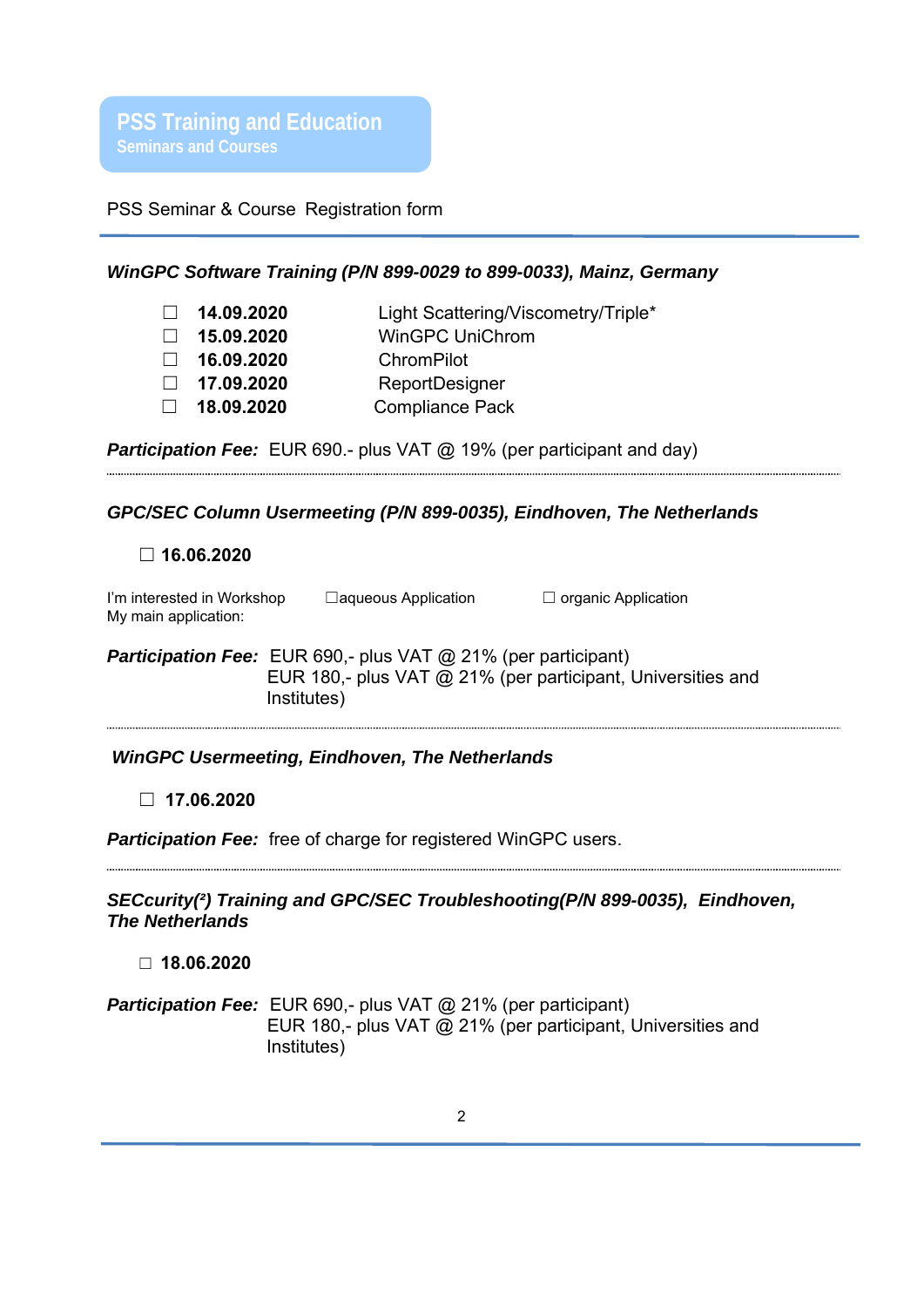

**PSS Training and Education Seminars and Courses** 

PSS Seminar & Course Registration form

## *WinGPC Software Training (P/N 899-0029 to 899-0033), Mainz, Germany*

|        | $\Box$ 14.09.2020 | Light Scattering/Viscometry/Triple* |
|--------|-------------------|-------------------------------------|
| $\Box$ | 15.09.2020        | <b>WinGPC UniChrom</b>              |
| $\Box$ | 16.09.2020        | ChromPilot                          |
|        | $\Box$ 17.09.2020 | ReportDesigner                      |
|        | $\Box$ 18.09.2020 | <b>Compliance Pack</b>              |

**Participation Fee:** EUR 690.- plus VAT @ 19% (per participant and day)

## *GPC/SEC Column Usermeeting (P/N 899-0035), Eindhoven, The Netherlands*

#### ☐ **16.06.2020**

| I'm interested in Workshop | $\Box$ aqueous Application | $\Box$ organic Application |
|----------------------------|----------------------------|----------------------------|
| My main application:       |                            |                            |

**Participation Fee:** EUR 690,- plus VAT @ 21% (per participant) EUR 180,- plus VAT @ 21% (per participant, Universities and Institutes)

# *WinGPC Usermeeting, Eindhoven, The Netherlands*

# ☐ **17.06.2020**

**Participation Fee:** free of charge for registered WinGPC users.

# *SECcurity(²) Training and GPC/SEC Troubleshooting(P/N 899-0035), Eindhoven, The Netherlands*

## ☐ **18.06.2020**

**Participation Fee:** EUR 690,- plus VAT @ 21% (per participant) EUR 180,- plus VAT @ 21% (per participant, Universities and Institutes)





PSS Polymer Standards Service GmbH In der Dalheimer Wiese 5 55120 Mainz |Germany

Phone +49 6131 96239-0 Fax +49 6131 96239-11 E-Mail info@pss-polymer.com Web www.pss-polymer.com Polymer Standards Service-USA, Inc. 160 Old Farm Rd, Suite A Amherst | MA 01002 | USA

Phone +1 413 835-0265 Fax +1 413 835-0354 E-Mail pssusa@pss-polymer.com Web www.pss-polymer.com